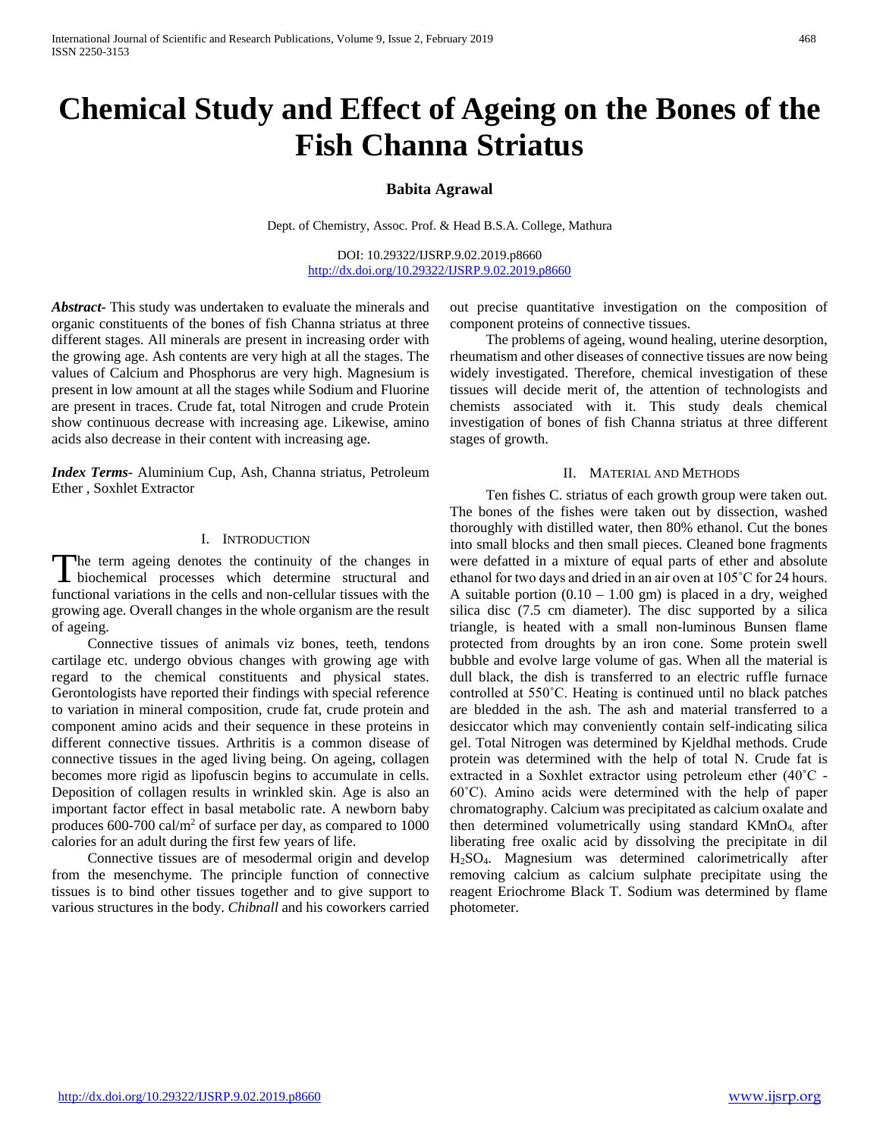# **Chemical Study and Effect of Ageing on the Bones of the Fish Channa Striatus**

## **Babita Agrawal**

Dept. of Chemistry, Assoc. Prof. & Head B.S.A. College, Mathura

DOI: 10.29322/IJSRP.9.02.2019.p8660 <http://dx.doi.org/10.29322/IJSRP.9.02.2019.p8660>

*Abstract***-** This study was undertaken to evaluate the minerals and organic constituents of the bones of fish Channa striatus at three different stages. All minerals are present in increasing order with the growing age. Ash contents are very high at all the stages. The values of Calcium and Phosphorus are very high. Magnesium is present in low amount at all the stages while Sodium and Fluorine are present in traces. Crude fat, total Nitrogen and crude Protein show continuous decrease with increasing age. Likewise, amino acids also decrease in their content with increasing age.

*Index Terms*- Aluminium Cup, Ash, Channa striatus, Petroleum Ether , Soxhlet Extractor

#### I. INTRODUCTION

he term ageing denotes the continuity of the changes in The term ageing denotes the continuity of the changes in biochemical processes which determine structural and functional variations in the cells and non-cellular tissues with the growing age. Overall changes in the whole organism are the result of ageing.

 Connective tissues of animals viz bones, teeth, tendons cartilage etc. undergo obvious changes with growing age with regard to the chemical constituents and physical states. Gerontologists have reported their findings with special reference to variation in mineral composition, crude fat, crude protein and component amino acids and their sequence in these proteins in different connective tissues. Arthritis is a common disease of connective tissues in the aged living being. On ageing, collagen becomes more rigid as lipofuscin begins to accumulate in cells. Deposition of collagen results in wrinkled skin. Age is also an important factor effect in basal metabolic rate. A newborn baby produces 600-700 cal/ $m<sup>2</sup>$  of surface per day, as compared to 1000 calories for an adult during the first few years of life.

 Connective tissues are of mesodermal origin and develop from the mesenchyme. The principle function of connective tissues is to bind other tissues together and to give support to various structures in the body. *Chibnall* and his coworkers carried out precise quantitative investigation on the composition of component proteins of connective tissues.

 The problems of ageing, wound healing, uterine desorption, rheumatism and other diseases of connective tissues are now being widely investigated. Therefore, chemical investigation of these tissues will decide merit of, the attention of technologists and chemists associated with it. This study deals chemical investigation of bones of fish Channa striatus at three different stages of growth.

#### II. MATERIAL AND METHODS

 Ten fishes C. striatus of each growth group were taken out. The bones of the fishes were taken out by dissection, washed thoroughly with distilled water, then 80% ethanol. Cut the bones into small blocks and then small pieces. Cleaned bone fragments were defatted in a mixture of equal parts of ether and absolute ethanol for two days and dried in an air oven at 105˚C for 24 hours. A suitable portion  $(0.10 - 1.00)$  gm is placed in a dry, weighed silica disc (7.5 cm diameter). The disc supported by a silica triangle, is heated with a small non-luminous Bunsen flame protected from droughts by an iron cone. Some protein swell bubble and evolve large volume of gas. When all the material is dull black, the dish is transferred to an electric ruffle furnace controlled at 550˚C. Heating is continued until no black patches are bledded in the ash. The ash and material transferred to a desiccator which may conveniently contain self-indicating silica gel. Total Nitrogen was determined by Kjeldhal methods. Crude protein was determined with the help of total N. Crude fat is extracted in a Soxhlet extractor using petroleum ether (40˚C - 60˚C). Amino acids were determined with the help of paper chromatography. Calcium was precipitated as calcium oxalate and then determined volumetrically using standard KMnO4, after liberating free oxalic acid by dissolving the precipitate in dil H2SO4. Magnesium was determined calorimetrically after removing calcium as calcium sulphate precipitate using the reagent Eriochrome Black T. Sodium was determined by flame photometer.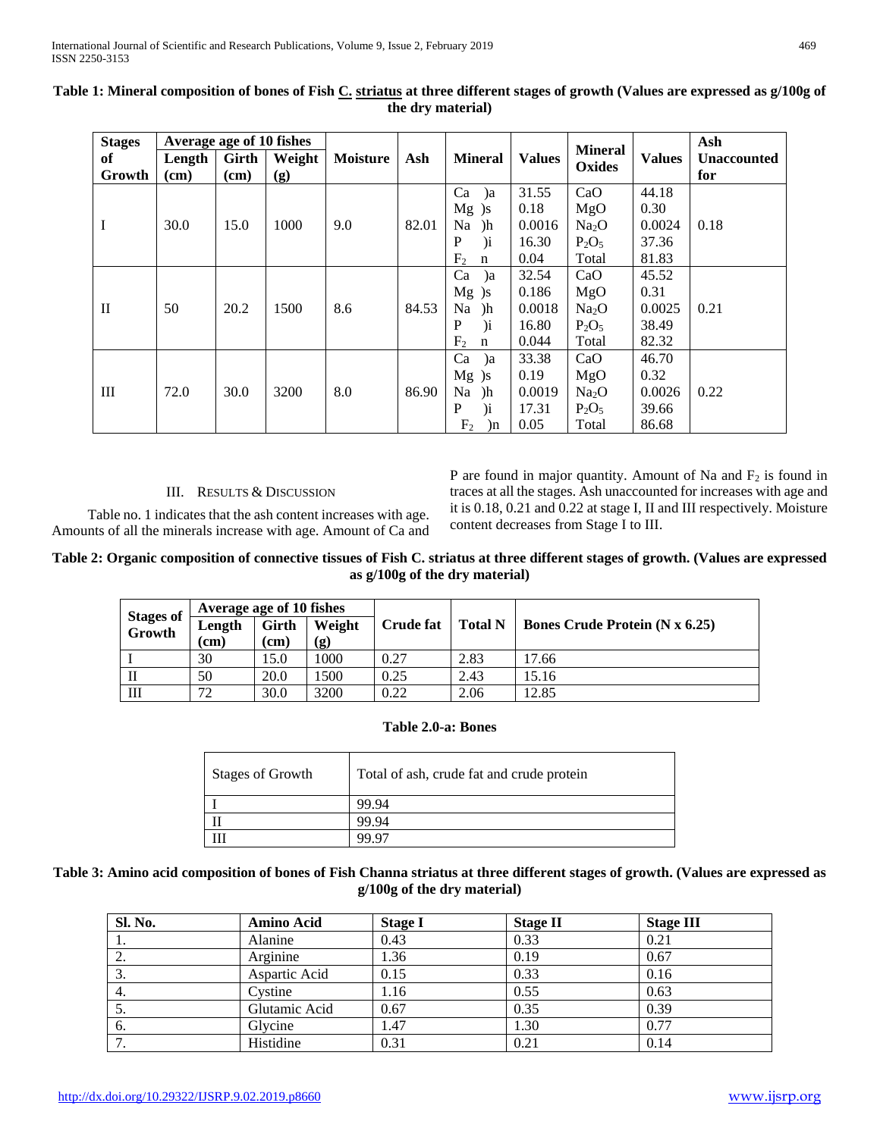| <b>Stages</b> | Average age of 10 fishes |       |        |                 |       |                               | <b>Mineral</b> |                   | Ash           |                    |
|---------------|--------------------------|-------|--------|-----------------|-------|-------------------------------|----------------|-------------------|---------------|--------------------|
| of            | Length                   | Girth | Weight | <b>Moisture</b> | Ash   | <b>Mineral</b>                | <b>Values</b>  | Oxides            | <b>Values</b> | <b>Unaccounted</b> |
| Growth        | (cm)                     | (cm)  | (g)    |                 |       |                               |                |                   |               | for                |
|               |                          |       |        |                 |       | Ca<br>$\alpha$                | 31.55          | CaO               | 44.18         |                    |
| Ι             | 30.0                     | 15.0  | 1000   | 9.0             | 82.01 | $Mg$ )s                       | 0.18           | MgO               | 0.30          |                    |
|               |                          |       |        |                 |       | Na<br>)h                      | 0.0016         | Na <sub>2</sub> O | 0.0024        | 0.18               |
|               |                          |       |        |                 |       | $\mathbf P$<br>$\overline{a}$ | 16.30          | $P_2O_5$          | 37.36         |                    |
|               |                          |       |        |                 |       | F <sub>2</sub><br>n           | 0.04           | Total             | 81.83         |                    |
|               |                          |       |        |                 |       | Ca<br>$\alpha$                | 32.54          | CaO               | 45.52         |                    |
|               | 50                       | 20.2  | 1500   | 8.6             | 84.53 | $Mg$ )s                       | 0.186          | MgO               | 0.31          |                    |
| $_{\rm II}$   |                          |       |        |                 |       | Na<br>)h                      | 0.0018         | Na <sub>2</sub> O | 0.0025        | 0.21               |
|               |                          |       |        |                 |       | P<br>$\mathbf{u}$             | 16.80          | $P_2O_5$          | 38.49         |                    |
|               |                          |       |        |                 |       | F <sub>2</sub><br>n           | 0.044          | Total             | 82.32         |                    |
| Ш             | 72.0                     | 30.0  | 3200   | 8.0             | 86.90 | Ca<br>a                       | 33.38          | CaO               | 46.70         |                    |
|               |                          |       |        |                 |       | $Mg$ )s                       | 0.19           | MgO               | 0.32          |                    |
|               |                          |       |        |                 |       | Na<br>)h                      | 0.0019         | Na <sub>2</sub> O | 0.0026        | 0.22               |
|               |                          |       |        |                 |       | P<br>$\mathbf{u}$             | 17.31          | $P_2O_5$          | 39.66         |                    |
|               |                          |       |        |                 |       | F <sub>2</sub><br>$ln$        | 0.05           | Total             | 86.68         |                    |

# **Table 1: Mineral composition of bones of Fish C. striatus at three different stages of growth (Values are expressed as g/100g of the dry material)**

#### III. RESULTS & DISCUSSION

 Table no. 1 indicates that the ash content increases with age. Amounts of all the minerals increase with age. Amount of Ca and P are found in major quantity. Amount of Na and  $F_2$  is found in traces at all the stages. Ash unaccounted for increases with age and it is 0.18, 0.21 and 0.22 at stage I, II and III respectively. Moisture content decreases from Stage I to III.

# **Table 2: Organic composition of connective tissues of Fish C. striatus at three different stages of growth. (Values are expressed as g/100g of the dry material)**

| <b>Stages of<br/>Growth</b> | Average age of 10 fishes |       |        |                  |                |                                  |  |
|-----------------------------|--------------------------|-------|--------|------------------|----------------|----------------------------------|--|
|                             | Length                   | Girth | Weight | <b>Crude fat</b> | <b>Total N</b> | Bones Crude Protein $(N x 6.25)$ |  |
|                             | (cm)                     | (cm)  | (g)    |                  |                |                                  |  |
|                             | 30                       | 15.0  | 1000   | 0.27             | 2.83           | 17.66                            |  |
| П                           | 50                       | 20.0  | 1500   | 0.25             | 2.43           | 15.16                            |  |
| Ш                           | 72                       | 30.0  | 3200   | 0.22             | 2.06           | 12.85                            |  |

### **Table 2.0-a: Bones**

| <b>Stages of Growth</b> | Total of ash, crude fat and crude protein |
|-------------------------|-------------------------------------------|
|                         | 99.94                                     |
|                         | 99.94                                     |
|                         | 99.97                                     |

## **Table 3: Amino acid composition of bones of Fish Channa striatus at three different stages of growth. (Values are expressed as g/100g of the dry material)**

| Sl. No. | Amino Acid    | <b>Stage I</b> | <b>Stage II</b> | <b>Stage III</b> |
|---------|---------------|----------------|-----------------|------------------|
| -1.     | Alanine       | 0.43           | 0.33            | 0.21             |
| 2.      | Arginine      | 1.36           | 0.19            | 0.67             |
| 3.      | Aspartic Acid | 0.15           | 0.33            | 0.16             |
| 4.      | Cvstine       | 1.16           | 0.55            | 0.63             |
| 5.      | Glutamic Acid | 0.67           | 0.35            | 0.39             |
| 6.      | Glycine       | 1.47           | 1.30            | 0.77             |
| 7.      | Histidine     | 0.31           | 0.21            | 0.14             |